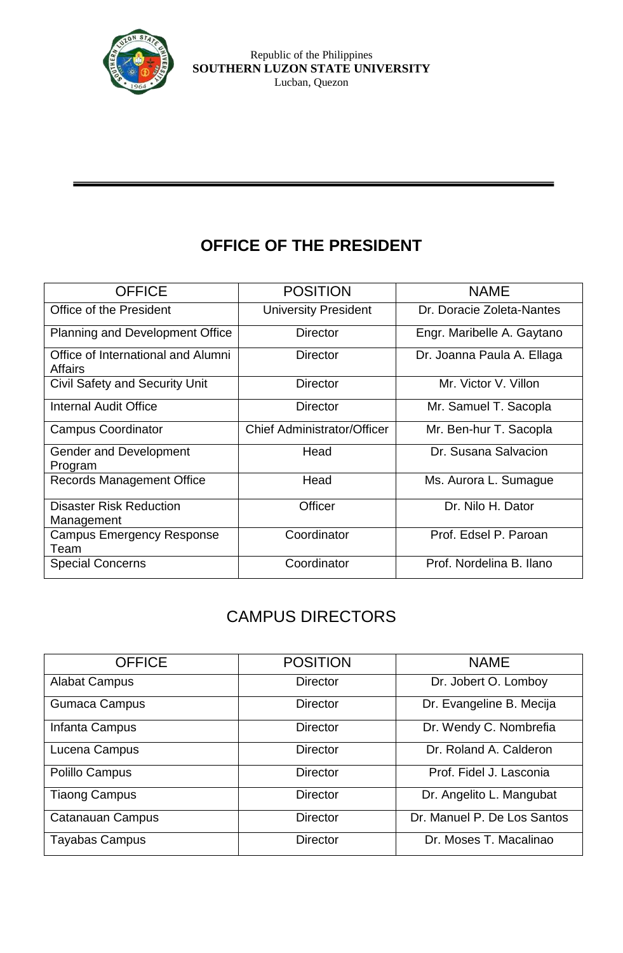

# **OFFICE OF THE PRESIDENT**

| <b>OFFICE</b>                                        | <b>POSITION</b>                    | <b>NAME</b>                |  |
|------------------------------------------------------|------------------------------------|----------------------------|--|
| Office of the President                              | <b>University President</b>        | Dr. Doracie Zoleta-Nantes  |  |
| Planning and Development Office                      | <b>Director</b>                    | Engr. Maribelle A. Gaytano |  |
| Office of International and Alumni<br><b>Affairs</b> | <b>Director</b>                    | Dr. Joanna Paula A. Ellaga |  |
| <b>Civil Safety and Security Unit</b>                | <b>Director</b>                    | Mr. Victor V. Villon       |  |
| Internal Audit Office                                | <b>Director</b>                    | Mr. Samuel T. Sacopla      |  |
| <b>Campus Coordinator</b>                            | <b>Chief Administrator/Officer</b> | Mr. Ben-hur T. Sacopla     |  |
| <b>Gender and Development</b><br>Program             | Head                               | Dr. Susana Salvacion       |  |
| <b>Records Management Office</b>                     | Head                               | Ms. Aurora L. Sumague      |  |
| <b>Disaster Risk Reduction</b><br>Management         | Officer                            | Dr. Nilo H. Dator          |  |
| <b>Campus Emergency Response</b><br>Team             | Coordinator                        | Prof. Edsel P. Paroan      |  |
| <b>Special Concerns</b>                              | Coordinator                        | Prof. Nordelina B. Ilano   |  |

## CAMPUS DIRECTORS

| <b>OFFICE</b>           | <b>POSITION</b> | <b>NAME</b>                 |  |
|-------------------------|-----------------|-----------------------------|--|
| <b>Alabat Campus</b>    | <b>Director</b> | Dr. Jobert O. Lomboy        |  |
| <b>Gumaca Campus</b>    | <b>Director</b> | Dr. Evangeline B. Mecija    |  |
| Infanta Campus          | <b>Director</b> | Dr. Wendy C. Nombrefia      |  |
| Lucena Campus           | <b>Director</b> | Dr. Roland A. Calderon      |  |
| Polillo Campus          | <b>Director</b> | Prof. Fidel J. Lasconia     |  |
| <b>Tiaong Campus</b>    | <b>Director</b> | Dr. Angelito L. Mangubat    |  |
| <b>Catanauan Campus</b> | <b>Director</b> | Dr. Manuel P. De Los Santos |  |
| <b>Tayabas Campus</b>   | <b>Director</b> | Dr. Moses T. Macalinao      |  |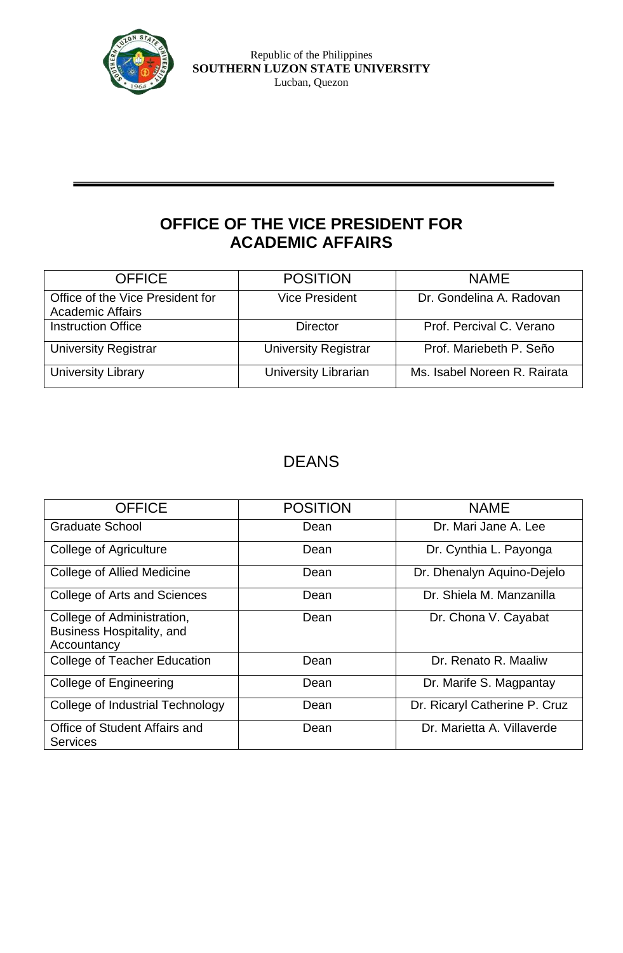

### **OFFICE OF THE VICE PRESIDENT FOR ACADEMIC AFFAIRS**

| <b>OFFICE</b>                                               | <b>POSITION</b>             | <b>NAME</b>                  |  |
|-------------------------------------------------------------|-----------------------------|------------------------------|--|
| Office of the Vice President for<br><b>Academic Affairs</b> | <b>Vice President</b>       | Dr. Gondelina A. Radovan     |  |
| <b>Instruction Office</b>                                   | <b>Director</b>             | Prof. Percival C. Verano     |  |
| <b>University Registrar</b>                                 | <b>University Registrar</b> | Prof. Mariebeth P. Seño      |  |
| <b>University Library</b>                                   | <b>University Librarian</b> | Ms. Isabel Noreen R. Rairata |  |

### DEANS

| <b>OFFICE</b>                                                                 | <b>POSITION</b> | <b>NAME</b>                   |  |
|-------------------------------------------------------------------------------|-----------------|-------------------------------|--|
| <b>Graduate School</b>                                                        | Dean            | Dr. Mari Jane A. Lee          |  |
| College of Agriculture                                                        | Dean            | Dr. Cynthia L. Payonga        |  |
| College of Allied Medicine                                                    | Dean            | Dr. Dhenalyn Aquino-Dejelo    |  |
| College of Arts and Sciences                                                  | Dean            | Dr. Shiela M. Manzanilla      |  |
| College of Administration,<br><b>Business Hospitality, and</b><br>Accountancy | Dean            | Dr. Chona V. Cayabat          |  |
| <b>College of Teacher Education</b>                                           | Dean            | Dr. Renato R. Maaliw          |  |
| College of Engineering                                                        | Dean            | Dr. Marife S. Magpantay       |  |
| College of Industrial Technology                                              | Dean            | Dr. Ricaryl Catherine P. Cruz |  |
| Office of Student Affairs and<br><b>Services</b>                              | Dean            | Dr. Marietta A. Villaverde    |  |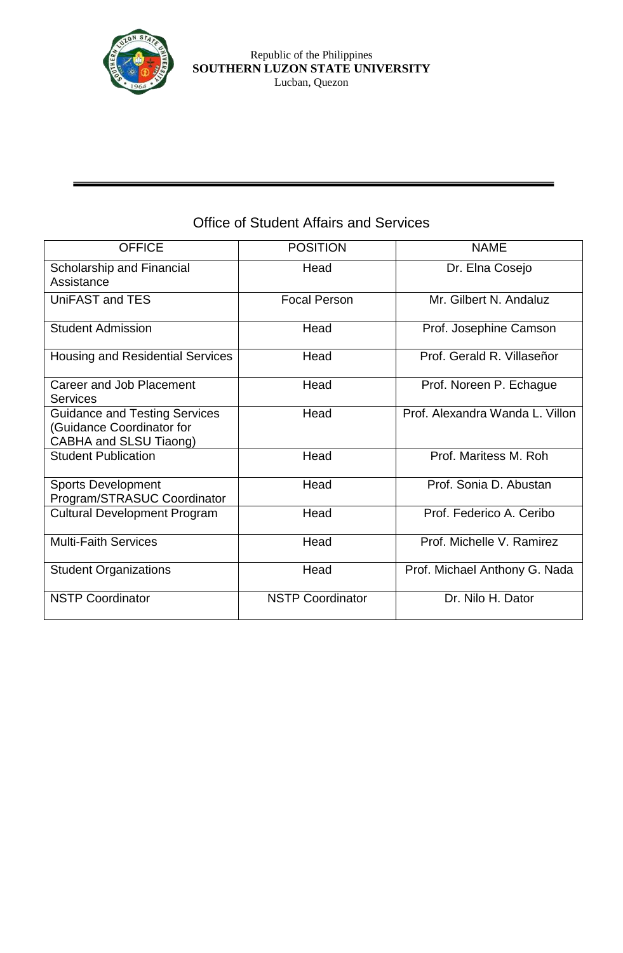

#### Republic of the Philippines **SOUTHERN LUZON STATE UNIVERSITY** Lucban, Quezon

| <b>OFFICE</b>                                                                               | <b>POSITION</b>         | <b>NAME</b>                     |  |
|---------------------------------------------------------------------------------------------|-------------------------|---------------------------------|--|
| Scholarship and Financial<br>Assistance                                                     | Head                    | Dr. Elna Cosejo                 |  |
| UniFAST and TES                                                                             | <b>Focal Person</b>     | Mr. Gilbert N. Andaluz          |  |
| <b>Student Admission</b>                                                                    | Head                    | Prof. Josephine Camson          |  |
| <b>Housing and Residential Services</b>                                                     | Head                    | Prof. Gerald R. Villaseñor      |  |
| Career and Job Placement<br><b>Services</b>                                                 | Head                    | Prof. Noreen P. Echague         |  |
| <b>Guidance and Testing Services</b><br>(Guidance Coordinator for<br>CABHA and SLSU Tiaong) | Head                    | Prof. Alexandra Wanda L. Villon |  |
| <b>Student Publication</b>                                                                  | Head                    | Prof. Maritess M. Roh.          |  |
| <b>Sports Development</b><br>Program/STRASUC Coordinator                                    | Head                    | Prof. Sonia D. Abustan          |  |
| <b>Cultural Development Program</b>                                                         | Head                    | Prof. Federico A. Ceribo        |  |
| <b>Multi-Faith Services</b>                                                                 | Head                    | Prof. Michelle V. Ramirez       |  |
| <b>Student Organizations</b>                                                                | Head                    | Prof. Michael Anthony G. Nada   |  |
| <b>NSTP Coordinator</b>                                                                     | <b>NSTP Coordinator</b> | Dr. Nilo H. Dator               |  |

### Office of Student Affairs and Services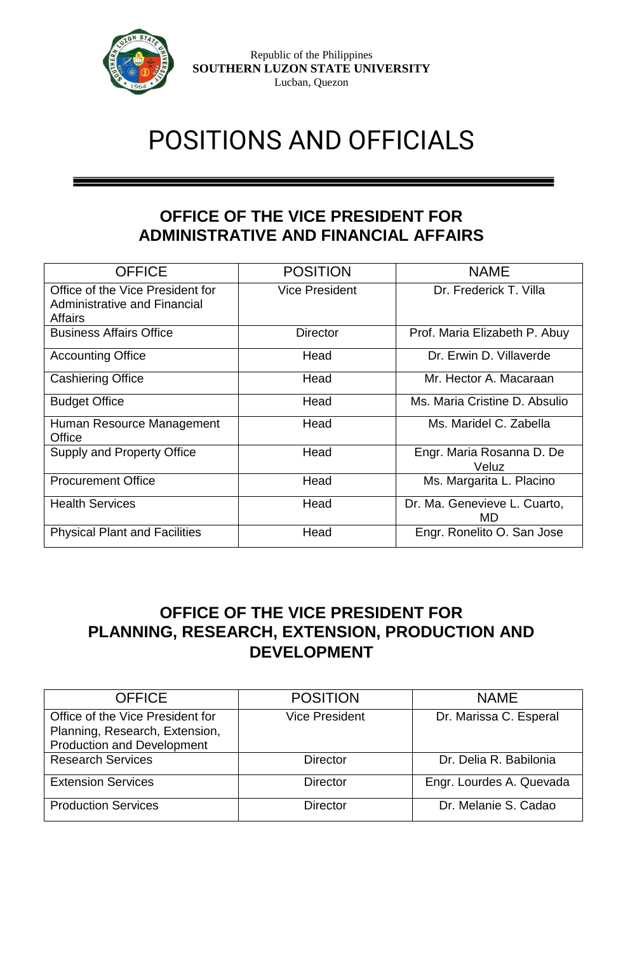

Republic of the Philippines **SOUTHERN LUZON STATE UNIVERSITY** Lucban, Quezon

# POSITIONS AND OFFICIALS

### **OFFICE OF THE VICE PRESIDENT FOR ADMINISTRATIVE AND FINANCIAL AFFAIRS**

| <b>OFFICE</b>                                                                      | <b>POSITION</b>       | <b>NAME</b>                        |  |
|------------------------------------------------------------------------------------|-----------------------|------------------------------------|--|
| Office of the Vice President for<br>Administrative and Financial<br><b>Affairs</b> | <b>Vice President</b> | Dr. Frederick T. Villa             |  |
| <b>Business Affairs Office</b>                                                     | <b>Director</b>       | Prof. Maria Elizabeth P. Abuy      |  |
| <b>Accounting Office</b>                                                           | Head                  | Dr. Erwin D. Villaverde            |  |
| <b>Cashiering Office</b>                                                           | Head                  | Mr. Hector A. Macaraan             |  |
| <b>Budget Office</b>                                                               | Head                  | Ms. Maria Cristine D. Absulio      |  |
| Human Resource Management<br>Office                                                | Head                  | Ms. Maridel C. Zabella             |  |
| <b>Supply and Property Office</b>                                                  | Head                  | Engr. Maria Rosanna D. De<br>Veluz |  |
| <b>Procurement Office</b>                                                          | Head                  | Ms. Margarita L. Placino           |  |
| <b>Health Services</b>                                                             | Head                  | Dr. Ma. Genevieve L. Cuarto,<br>MD |  |
| <b>Physical Plant and Facilities</b>                                               | Head                  | Engr. Ronelito O. San Jose         |  |

### **OFFICE OF THE VICE PRESIDENT FOR PLANNING, RESEARCH, EXTENSION, PRODUCTION AND DEVELOPMENT**

| <b>OFFICE</b>                                                                                           | <b>POSITION</b>       | <b>NAME</b>              |
|---------------------------------------------------------------------------------------------------------|-----------------------|--------------------------|
| Office of the Vice President for<br>Planning, Research, Extension,<br><b>Production and Development</b> | <b>Vice President</b> | Dr. Marissa C. Esperal   |
| <b>Research Services</b>                                                                                | <b>Director</b>       | Dr. Delia R. Babilonia   |
| <b>Extension Services</b>                                                                               | <b>Director</b>       | Engr. Lourdes A. Quevada |
| <b>Production Services</b>                                                                              | <b>Director</b>       | Dr. Melanie S. Cadao     |